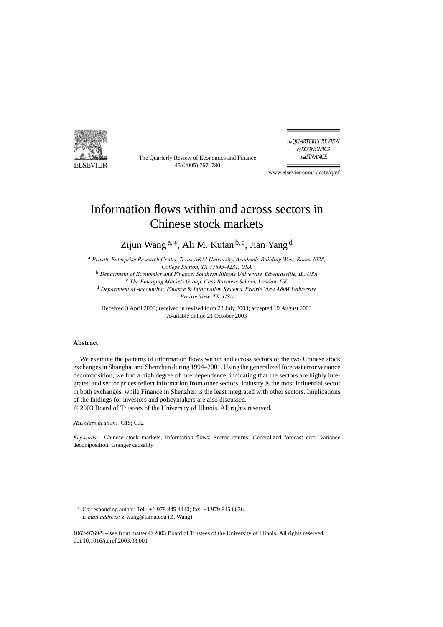

The Quarterly Review of Economics and Finance 45 (2005) 767–780

The QUARTERLY REVIEW of ECONOMICS And FINANCE

www.elsevier.com/locate/qref

## Information flows within and across sectors in Chinese stock markets

Zijun Wang <sup>a</sup>,∗, Ali M. Kutan <sup>b</sup>,c, Jian Yang <sup>d</sup>

<sup>a</sup> *Private Enterprise Research Center, Texas A*&*M University, Academic Building West, Room 3028, College Station, TX 77843-4231, USA*

<sup>b</sup> *Department of Economics and Finance, Southern Illinois University, Edwardsville, IL, USA* <sup>c</sup> *The Emerging Markets Group, Cass Business School, London, UK* <sup>d</sup> *Department of Accounting, Finance* & *Information Systems, Prairie View A*&*M University,*

*Prairie View, TX, USA*

Received 3 April 2003; received in revised form 23 July 2003; accepted 19 August 2003 Available online 21 October 2003

#### **Abstract**

We examine the patterns of information flows within and across sectors of the two Chinese stock exchanges in Shanghai and Shenzhen during 1994–2001. Using the generalized forecast error variance decomposition, we find a high degree of interdependence, indicating that the sectors are highly integrated and sector prices reflect information from other sectors. Industry is the most influential sector in both exchanges, while Finance in Shenzhen is the least integrated with other sectors. Implications of the findings for investors and policymakers are also discussed.

© 2003 Board of Trustees of the University of Illinois. All rights reserved.

*JEL classification:* G15; C32

*Keywords:* Chinese stock markets; Information flows; Sector returns; Generalized forecast error variance decomposition; Granger causality

∗ Corresponding author. Tel.: +1 979 845 4440; fax: +1 979 845 6636. *E-mail address:* z-wang@tamu.edu (Z. Wang).

1062-9769/\$ – see front matter © 2003 Board of Trustees of the University of Illinois. All rights reserved. doi:10.1016/j.qref.2003.08.001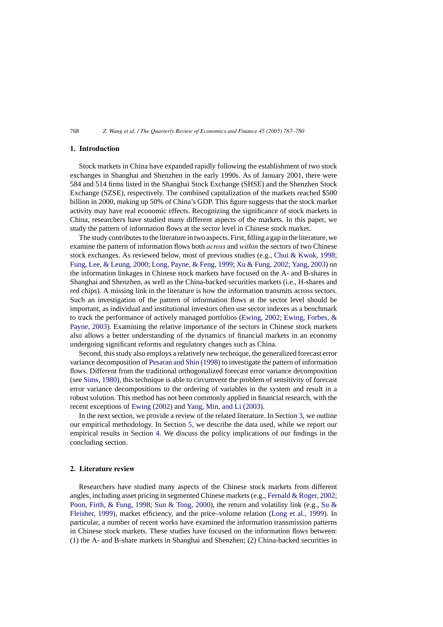### **1. Introduction**

Stock markets in China have expanded rapidly following the establishment of two stock exchanges in Shanghai and Shenzhen in the early 1990s. As of January 2001, there were 584 and 514 firms listed in the Shanghai Stock Exchange (SHSE) and the Shenzhen Stock Exchange (SZSE), respectively. The combined capitalization of the markets reached \$500 billion in 2000, making up 50% of China's GDP. This figure suggests that the stock market activity may have real economic effects. Recognizing the significance of stock markets in China, researchers have studied many different aspects of the markets. In this paper, we study the pattern of information flows at the sector level in Chinese stock market.

The study contributes to the literature in two aspects. First, filling a gap in the literature, we examine the pattern of information flows both *across* and *within* the sectors of two Chinese stock exchanges. As reviewed below, most of previous studies (e.g., [Chui & Kwok, 1998;](#page--1-0) [Fung, Lee, & Leung, 2000;](#page--1-0) [Long, Payne, & Feng, 1999;](#page--1-0) [Xu & Fung, 2002;](#page--1-0) [Yang, 2003\) o](#page--1-0)n the information linkages in Chinese stock markets have focused on the A- and B-shares in Shanghai and Shenzhen, as well as the China-backed securities markets (i.e., H-shares and red chips). A missing link in the literature is how the information transmits across sectors. Such an investigation of the pattern of information flows at the sector level should be important, as individual and institutional investors often use sector indexes as a benchmark to track the performance of actively managed portfolios [\(Ewing, 2002;](#page--1-0) [Ewing, Forbes, &](#page--1-0) [Payne, 2003\).](#page--1-0) Examining the relative importance of the sectors in Chinese stock markets also allows a better understanding of the dynamics of financial markets in an economy undergoing significant reforms and regulatory changes such as China.

Second, this study also employs a relatively new technique, the generalized forecast error variance decomposition of [Pesaran and Shin \(1998\)](#page--1-0) to investigate the pattern of information flows. Different from the traditional orthogonalized forecast error variance decomposition (see [Sims, 1980\),](#page--1-0) this technique is able to circumvent the problem of sensitivity of forecast error variance decompositions to the ordering of variables in the system and result in a robust solution. This method has not been commonly applied in financial research, with the recent exceptions of [Ewing \(2002\)](#page--1-0) and [Yang, Min, and Li \(2003\).](#page--1-0)

In the next section, we provide a review of the related literature. In Section [3, w](#page--1-0)e outline our empirical methodology. In Section [5,](#page--1-0) we describe the data used, while we report our empirical results in Section [4.](#page--1-0) We discuss the policy implications of our findings in the concluding section.

#### **2. Literature review**

Researchers have studied many aspects of the Chinese stock markets from different angles, including asset pricing in segmented Chinese markets (e.g., [Fernald & Roger, 2002;](#page--1-0) [Poon, Firth, & Fung, 1998;](#page--1-0) [Sun & Tong, 2000\),](#page--1-0) the return and volatility link (e.g., [Su &](#page--1-0) [Fleisher, 1999\),](#page--1-0) market efficiency, and the price–volume relation ([Long et al., 1999\)](#page--1-0). In particular, a number of recent works have examined the information transmission patterns in Chinese stock markets. These studies have focused on the information flows between: (1) the A- and B-share markets in Shanghai and Shenzhen; (2) China-backed securities in